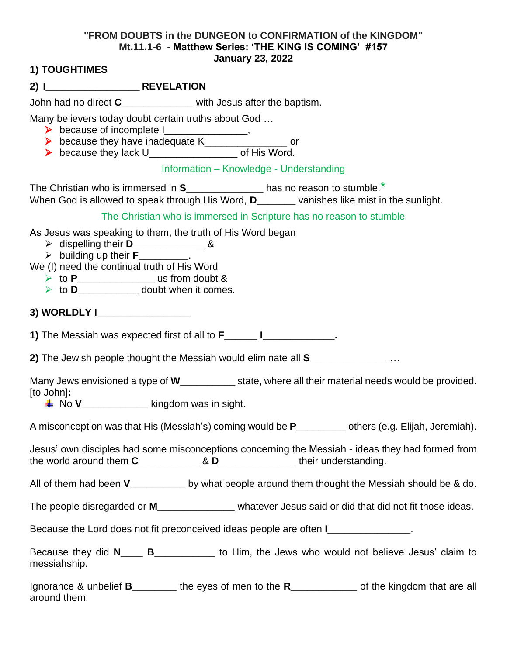## **"FROM DOUBTS in the DUNGEON to CONFIRMATION of the KINGDOM" Mt.11.1-6 - Matthew Series: 'THE KING IS COMING' #157 January 23, 2022**

## **1) TOUGHTIMES**

John had no direct **C\_\_\_\_\_\_\_\_\_\_\_\_\_** with Jesus after the baptism.

Many believers today doubt certain truths about God …

- $\triangleright$  because of incomplete I
- ➢ because they have inadequate K\_\_\_\_\_\_\_\_\_\_\_\_\_\_\_ or
- ➢ because they lack U\_\_\_\_\_\_\_\_\_\_\_\_\_\_\_\_ of His Word.

## Information – Knowledge - Understanding

The Christian who is immersed in **S\_\_\_\_\_\_\_\_\_\_\_\_\_\_** has no reason to stumble.\* When God is allowed to speak through His Word, **D\_\_\_\_\_\_** vanishes like mist in the sunlight.

The Christian who is immersed in Scripture has no reason to stumble

As Jesus was speaking to them, the truth of His Word began

- ➢ dispelling their **D\_\_\_\_\_\_\_\_\_\_\_\_\_** &
- ➢ building up their **F\_\_\_\_\_\_\_\_\_**.
- We (I) need the continual truth of His Word
	- ➢ to **P\_\_\_\_\_\_\_\_\_\_\_\_\_\_** us from doubt &
	- ➢ to **D\_\_\_\_\_\_\_\_\_\_\_** doubt when it comes.
- **3) WORLDLY I\_\_\_\_\_\_\_\_\_\_\_\_\_\_\_\_\_**

**1)** The Messiah was expected first of all to **F\_\_\_\_\_\_ I\_\_\_\_\_\_\_\_\_\_\_\_\_.**

**2)** The Jewish people thought the Messiah would eliminate all **S\_\_\_\_\_\_\_\_\_\_\_\_\_\_** …

Many Jews envisioned a type of **W\_\_\_\_\_\_\_\_\_\_** state, where all their material needs would be provided. [to John]**:**

No **V\_\_\_\_\_\_\_\_\_\_\_\_** kingdom was in sight.

A misconception was that His (Messiah's) coming would be **P\_\_\_\_\_\_\_\_\_** others (e.g. Elijah, Jeremiah).

Jesus' own disciples had some misconceptions concerning the Messiah - ideas they had formed from the world around them **C\_\_\_\_\_\_\_\_\_\_\_** & **D\_\_\_\_\_\_\_\_\_\_\_\_\_\_** their understanding.

All of them had been **V\_\_\_\_\_\_\_\_\_\_** by what people around them thought the Messiah should be & do.

The people disregarded or **M\_\_\_\_\_\_\_\_\_\_\_\_\_\_** whatever Jesus said or did that did not fit those ideas.

Because the Lord does not fit preconceived ideas people are often **I\_\_\_\_\_\_\_\_\_\_\_\_\_\_\_**.

Because they did **N\_\_\_\_ B\_\_\_\_\_\_\_\_\_\_\_** to Him, the Jews who would not believe Jesus' claim to messiahship.

Ignorance & unbelief **B\_\_\_\_\_\_\_\_** the eyes of men to the **R\_\_\_\_\_\_\_\_\_\_\_\_** of the kingdom that are all around them.